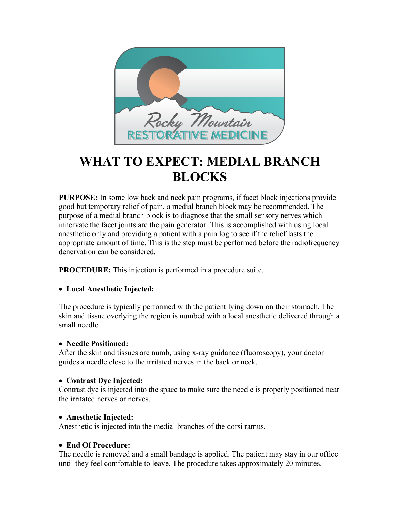

# **WHAT TO EXPECT: MEDIAL BRANCH BLOCKS**

**PURPOSE:** In some low back and neck pain programs, if facet block injections provide good but temporary relief of pain, a medial branch block may be recommended. The purpose of a medial branch block is to diagnose that the small sensory nerves which innervate the facet joints are the pain generator. This is accomplished with using local anesthetic only and providing a patient with a pain log to see if the relief lasts the appropriate amount of time. This is the step must be performed before the radiofrequency denervation can be considered.

**PROCEDURE:** This injection is performed in a procedure suite.

# • **Local Anesthetic Injected:**

The procedure is typically performed with the patient lying down on their stomach. The skin and tissue overlying the region is numbed with a local anesthetic delivered through a small needle.

#### • **Needle Positioned:**

After the skin and tissues are numb, using x-ray guidance (fluoroscopy), your doctor guides a needle close to the irritated nerves in the back or neck.

# • **Contrast Dye Injected:**

Contrast dye is injected into the space to make sure the needle is properly positioned near the irritated nerves or nerves.

# • **Anesthetic Injected:**

Anesthetic is injected into the medial branches of the dorsi ramus.

#### • **End Of Procedure:**

The needle is removed and a small bandage is applied. The patient may stay in our office until they feel comfortable to leave. The procedure takes approximately 20 minutes.